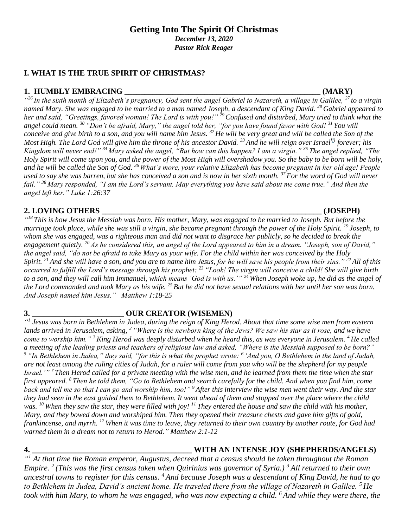*Pastor Rick Reager*

# **I. WHAT IS THE TRUE SPIRIT OF CHRISTMAS?**

# **1. HUMBLY EMBRACING \_\_\_\_\_\_\_\_\_\_\_\_\_\_\_\_\_\_\_\_\_\_\_\_\_\_\_\_\_\_\_\_\_\_\_\_\_\_\_\_\_\_\_\_\_\_\_\_\_ (MARY)**

*" <sup>26</sup> In the sixth month of Elizabeth's pregnancy, God sent the angel Gabriel to Nazareth, a village in Galilee, <sup>27</sup> to a virgin named Mary. She was engaged to be married to a man named Joseph, a descendant of King David. <sup>28</sup> Gabriel appeared to her and said, "Greetings, favored woman! The Lord is with you!" <sup>29</sup>Confused and disturbed, Mary tried to think what the angel could mean. <sup>30</sup> "Don't be afraid, Mary," the angel told her, "for you have found favor with God! <sup>31</sup> You will conceive and give birth to a son, and you will name him Jesus. <sup>32</sup> He will be very great and will be called the Son of the Most High. The Lord God will give him the throne of his ancestor David. <sup>33</sup> And he will reign over Israel[\[f\]](https://www.biblegateway.com/passage/?search=Luke+1&version=NLT#fen-NLT-24895f) forever; his Kingdom will never end!" <sup>34</sup> Mary asked the angel, "But how can this happen? I am a virgin." <sup>35</sup> The angel replied, "The Holy Spirit will come upon you, and the power of the Most High will overshadow you. So the baby to be born will be holy, and he will be called the Son of God. <sup>36</sup> What's more, your relative Elizabeth has become pregnant in her old age! People used to say she was barren, but she has conceived a son and is now in her sixth month. <sup>37</sup> For the word of God will never fail." <sup>38</sup> Mary responded, "I am the Lord's servant. May everything you have said about me come true." And then the angel left her." Luke 1:26:37*

# **2. LOVING OTHERS \_\_\_\_\_\_\_\_\_\_\_\_\_\_\_\_\_\_\_\_\_\_\_\_\_\_\_\_\_\_\_\_\_\_\_\_\_\_\_\_\_\_\_\_\_\_\_\_\_\_\_\_\_\_\_ (JOSEPH)**

*" <sup>18</sup> This is how Jesus the Messiah was born. His mother, Mary, was engaged to be married to Joseph. But before the marriage took place, while she was still a virgin, she became pregnant through the power of the Holy Spirit. <sup>19</sup> Joseph, to whom she was engaged, was a righteous man and did not want to disgrace her publicly, so he decided to break the engagement quietly. <sup>20</sup> As he considered this, an angel of the Lord appeared to him in a dream. "Joseph, son of David," the angel said, "do not be afraid to take Mary as your wife. For the child within her was conceived by the Holy Spirit. <sup>21</sup> And she will have a son, and you are to name him Jesus, for he will save his people from their sins." <sup>22</sup> All of this occurred to fulfill the Lord's message through his prophet: <sup>23</sup> "Look! The virgin will conceive a child! She will give birth to a son, and they will call him Immanuel, which means 'God is with us.'" <sup>24</sup> When Joseph woke up, he did as the angel of the Lord commanded and took Mary as his wife. <sup>25</sup> But he did not have sexual relations with her until her son was born. And Joseph named him Jesus." Matthew 1:18-25*

**3. \_\_\_\_\_\_\_\_\_\_\_\_\_\_\_\_\_\_\_\_\_\_\_ OUR CREATOR (WISEMEN)**

*" 1 Jesus was born in Bethlehem in Judea, during the reign of King Herod. About that time some wise men from eastern lands arrived in Jerusalem, asking, <sup>2</sup> "Where is the newborn king of the Jews? We saw his star as it rose, and we have come to worship him." <sup>3</sup>King Herod was deeply disturbed when he heard this, as was everyone in Jerusalem. <sup>4</sup> He called a meeting of the leading priests and teachers of religious law and asked, "Where is the Messiah supposed to be born?" <sup>5</sup> "In Bethlehem in Judea," they said, "for this is what the prophet wrote: <sup>6</sup> 'And you, O Bethlehem in the land of Judah, are not least among the ruling cities of Judah, for a ruler will come from you who will be the shepherd for my people Israel.'" <sup>7</sup> Then Herod called for a private meeting with the wise men, and he learned from them the time when the star first appeared. <sup>8</sup> Then he told them, "Go to Bethlehem and search carefully for the child. And when you find him, come back and tell me so that I can go and worship him, too!" <sup>9</sup> After this interview the wise men went their way. And the star they had seen in the east guided them to Bethlehem. It went ahead of them and stopped over the place where the child was. <sup>10</sup> When they saw the star, they were filled with joy! <sup>11</sup> They entered the house and saw the child with his mother, Mary, and they bowed down and worshiped him. Then they opened their treasure chests and gave him gifts of gold, frankincense, and myrrh. <sup>12</sup> When it was time to leave, they returned to their own country by another route, for God had warned them in a dream not to return to Herod." Matthew 2:1-12*

# **4. \_\_\_\_\_\_\_\_\_\_\_\_\_\_\_\_\_\_\_\_\_\_\_\_\_\_\_\_\_\_\_\_\_\_\_\_\_\_\_\_ WITH AN INTENSE JOY (SHEPHERDS/ANGELS)**

*" <sup>1</sup> At that time the Roman emperor, Augustus, decreed that a census should be taken throughout the Roman Empire. <sup>2</sup> (This was the first census taken when Quirinius was governor of Syria.) <sup>3</sup> All returned to their own ancestral towns to register for this census. <sup>4</sup> And because Joseph was a descendant of King David, he had to go to Bethlehem in Judea, David's ancient home. He traveled there from the village of Nazareth in Galilee. <sup>5</sup> He took with him Mary, to whom he was engaged, who was now expecting a child. <sup>6</sup> And while they were there, the*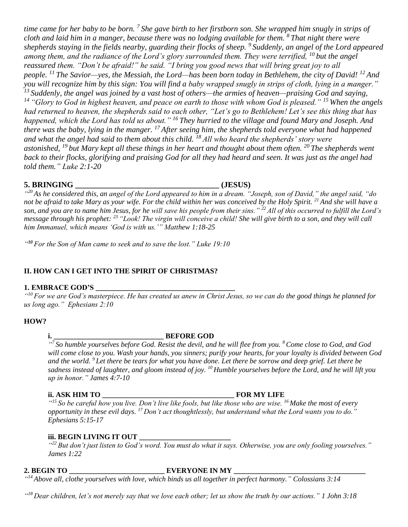time came for her baby to be born. <sup>7</sup> She gave birth to her firstborn son. She wrapped him snugly in strips of *cloth and laid him in a manger, because there was no lodging available for them. <sup>8</sup> That night there were shepherds staying in the fields nearby, guarding their flocks of sheep. <sup>9</sup> Suddenly, an angel of the Lord appeared among them, and the radiance of the Lord's glory surrounded them. They were terrified, <sup>10</sup> but the angel reassured them. "Don't be afraid!" he said. "I bring you good news that will bring great joy to all people. <sup>11</sup> The Savior—yes, the Messiah, the Lord—has been born today in Bethlehem, the city of David! <sup>12</sup> And you will recognize him by this sign: You will find a baby wrapped snugly in strips of cloth, lying in a manger." <sup>13</sup> Suddenly, the angel was joined by a vast host of others—the armies of heaven—praising God and saying, <sup>14</sup> "Glory to God in highest heaven, and peace on earth to those with whom God is pleased." <sup>15</sup> When the angels had returned to heaven, the shepherds said to each other, "Let's go to Bethlehem! Let's see this thing that has happened, which the Lord has told us about." <sup>16</sup> They hurried to the village and found Mary and Joseph. And there was the baby, lying in the manger. <sup>17</sup> After seeing him, the shepherds told everyone what had happened and what the angel had said to them about this child. <sup>18</sup> All who heard the shepherds' story were astonished, <sup>19</sup> but Mary kept all these things in her heart and thought about them often. <sup>20</sup> The shepherds went back to their flocks, glorifying and praising God for all they had heard and seen. It was just as the angel had told them." Luke 2:1-20*

# **5. BRINGING \_\_\_\_\_\_\_\_\_\_\_\_\_\_\_\_\_\_\_\_\_\_\_\_\_\_\_\_\_\_\_\_\_\_\_\_ (JESUS)**

*" <sup>20</sup> As he considered this, an angel of the Lord appeared to him in a dream. "Joseph, son of David," the angel said, "do not be afraid to take Mary as your wife. For the child within her was conceived by the Holy Spirit. <sup>21</sup> And she will have a son, and you are to name him Jesus, for he will save his people from their sins." <sup>22</sup>All of this occurred to fulfill the Lord's message through his prophet: <sup>23</sup> "Look! The virgin will conceive a child! She will give birth to a son, and they will call him Immanuel, which means 'God is with us.'" Matthew 1:18-25*

*" <sup>10</sup> For the Son of Man came to seek and to save the lost." Luke 19:10*

# **II. HOW CAN I GET INTO THE SPIRIT OF CHRISTMAS?**

### **1. EMBRACE GOD'S \_\_\_\_\_\_\_\_\_\_\_\_\_\_\_\_\_\_\_\_\_\_\_\_\_\_\_\_\_\_\_\_\_\_\_\_\_\_**

*" <sup>10</sup> For we are God's masterpiece. He has created us anew in Christ Jesus, so we can do the good things he planned for us long ago." Ephesians 2:10*

#### **HOW?**

### **i. \_\_\_\_\_\_\_\_\_\_\_\_\_\_\_\_\_\_\_\_\_\_\_\_\_\_\_\_\_\_ BEFORE GOD**

*" 7 So humble yourselves before God. Resist the devil, and he will flee from you. <sup>8</sup>Come close to God, and God will come close to you. Wash your hands, you sinners; purify your hearts, for your loyalty is divided between God and the world. <sup>9</sup> Let there be tears for what you have done. Let there be sorrow and deep grief. Let there be sadness instead of laughter, and gloom instead of joy. <sup>10</sup> Humble yourselves before the Lord, and he will lift you up in honor." James 4:7-10*

#### **ii. ASK HIM TO \_\_\_\_\_\_\_\_\_\_\_\_\_\_\_\_\_\_\_\_\_\_\_\_\_\_\_\_\_\_\_\_\_\_\_\_ FOR MY LIFE**

*" <sup>15</sup> So be careful how you live. Don't live like fools, but like those who are wise. <sup>16</sup> Make the most of every opportunity in these evil days. <sup>17</sup> Don't act thoughtlessly, but understand what the Lord wants you to do." Ephesians 5:15-17*

### **iii. BEGIN LIVING IT OUT \_\_\_\_\_\_\_\_\_\_\_\_\_\_\_\_\_\_\_\_\_\_\_\_\_**

*" <sup>22</sup> But don't just listen to God's word. You must do what it says. Otherwise, you are only fooling yourselves." James 1:22*

# **2. BEGIN TO \_\_\_\_\_\_\_\_\_\_\_\_\_\_\_\_\_\_\_\_\_\_\_\_\_\_ EVERYONE IN MY \_\_\_\_\_\_\_\_\_\_\_\_\_\_\_\_\_\_\_\_\_\_\_\_\_\_\_\_\_\_\_\_\_\_\_\_**

*" <sup>14</sup> Above all, clothe yourselves with love, which binds us all together in perfect harmony." Colossians 3:14*

*" <sup>18</sup> Dear children, let's not merely say that we love each other; let us show the truth by our actions." 1 John 3:18*